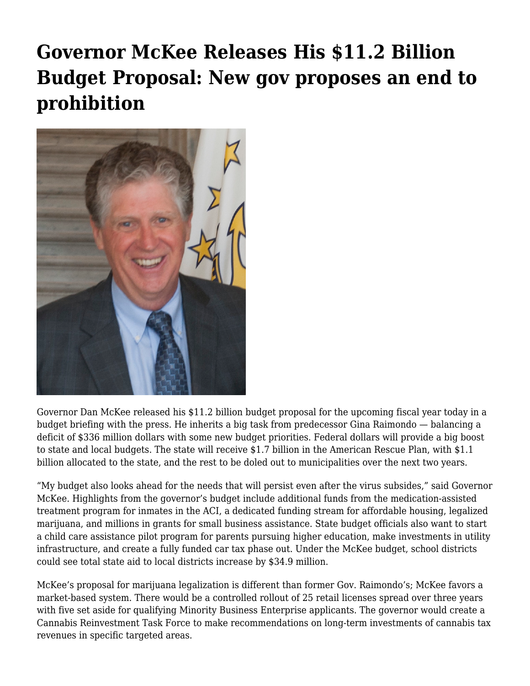## **[Governor McKee Releases His \\$11.2 Billion](https://motifri.com/governor-mckee-releases-his-budget-proposal-new-gov-proposes-an-end-to-prohibition/) [Budget Proposal: New gov proposes an end to](https://motifri.com/governor-mckee-releases-his-budget-proposal-new-gov-proposes-an-end-to-prohibition/) [prohibition](https://motifri.com/governor-mckee-releases-his-budget-proposal-new-gov-proposes-an-end-to-prohibition/)**



Governor Dan McKee released his \$11.2 billion budget proposal for the upcoming fiscal year today in a budget briefing with the press. He inherits a big task from predecessor Gina Raimondo — balancing a deficit of \$336 million dollars with some new budget priorities. Federal dollars will provide a big boost to state and local budgets. The state will receive \$1.7 billion in the American Rescue Plan, with \$1.1 billion allocated to the state, and the rest to be doled out to municipalities over the next two years.

"My budget also looks ahead for the needs that will persist even after the virus subsides," said Governor McKee. Highlights from the governor's budget include additional funds from the medication-assisted treatment program for inmates in the ACI, a dedicated funding stream for affordable housing, legalized marijuana, and millions in grants for small business assistance. State budget officials also want to start a child care assistance pilot program for parents pursuing higher education, make investments in utility infrastructure, and create a fully funded car tax phase out. Under the McKee budget, school districts could see total state aid to local districts increase by \$34.9 million.

McKee's proposal for marijuana legalization is different than former Gov. Raimondo's; McKee favors a market-based system. There would be a controlled rollout of 25 retail licenses spread over three years with five set aside for qualifying Minority Business Enterprise applicants. The governor would create a Cannabis Reinvestment Task Force to make recommendations on long-term investments of cannabis tax revenues in specific targeted areas.